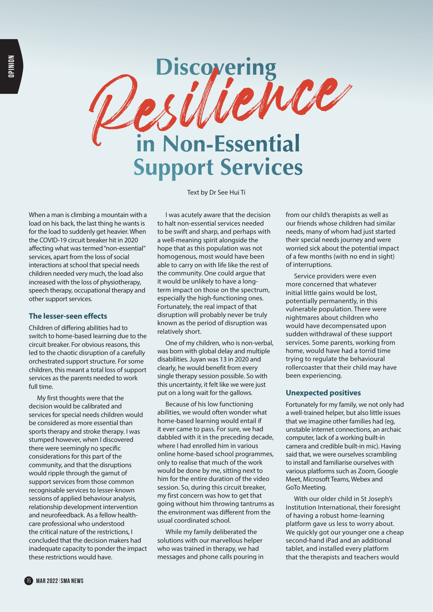

Text by Dr See Hui Ti

When a man is climbing a mountain with a load on his back, the last thing he wants is for the load to suddenly get heavier. When the COVID-19 circuit breaker hit in 2020 affecting what was termed "non-essential" services, apart from the loss of social interactions at school that special needs children needed very much, the load also increased with the loss of physiotherapy, speech therapy, occupational therapy and other support services.

## **The lesser-seen effects**

Children of differing abilities had to switch to home-based learning due to the circuit breaker. For obvious reasons, this led to the chaotic disruption of a carefully orchestrated support structure. For some children, this meant a total loss of support services as the parents needed to work full time.

My first thoughts were that the decision would be calibrated and services for special needs children would be considered as more essential than sports therapy and stroke therapy. I was stumped however, when I discovered there were seemingly no specific considerations for this part of the community, and that the disruptions would ripple through the gamut of support services from those common recognisable services to lesser-known sessions of applied behaviour analysis, relationship development intervention and neurofeedback. As a fellow healthcare professional who understood the critical nature of the restrictions, I concluded that the decision makers had inadequate capacity to ponder the impact these restrictions would have.

I was acutely aware that the decision to halt non-essential services needed to be swift and sharp, and perhaps with a well-meaning spirit alongside the hope that as this population was not homogenous, most would have been able to carry on with life like the rest of the community. One could argue that it would be unlikely to have a longterm impact on those on the spectrum, especially the high-functioning ones. Fortunately, the real impact of that disruption will probably never be truly known as the period of disruption was relatively short.

One of my children, who is non-verbal, was born with global delay and multiple disabilities. Juyan was 13 in 2020 and clearly, he would benefit from every single therapy session possible. So with this uncertainty, it felt like we were just put on a long wait for the gallows.

Because of his low functioning abilities, we would often wonder what home-based learning would entail if it ever came to pass. For sure, we had dabbled with it in the preceding decade, where I had enrolled him in various online home-based school programmes, only to realise that much of the work would be done by me, sitting next to him for the entire duration of the video session. So, during this circuit breaker, my first concern was how to get that going without him throwing tantrums as the environment was different from the usual coordinated school.

While my family deliberated the solutions with our marvellous helper who was trained in therapy, we had messages and phone calls pouring in from our child's therapists as well as our friends whose children had similar needs, many of whom had just started their special needs journey and were worried sick about the potential impact of a few months (with no end in sight) of interruptions.

Service providers were even more concerned that whatever initial little gains would be lost, potentially permanently, in this vulnerable population. There were nightmares about children who would have decompensated upon sudden withdrawal of these support services. Some parents, working from home, would have had a torrid time trying to regulate the behavioural rollercoaster that their child may have been experiencing.

## **Unexpected positives**

Fortunately for my family, we not only had a well-trained helper, but also little issues that we imagine other families had (eg, unstable internet connections, an archaic computer, lack of a working built-in camera and credible built-in mic). Having said that, we were ourselves scrambling to install and familiarise ourselves with various platforms such as Zoom, Google Meet, Microsoft Teams, Webex and GoTo Meeting.

With our older child in St Joseph's Institution International, their foresight of having a robust home-learning platform gave us less to worry about. We quickly got our younger one a cheap second-hand iPad and an additional tablet, and installed every platform that the therapists and teachers would